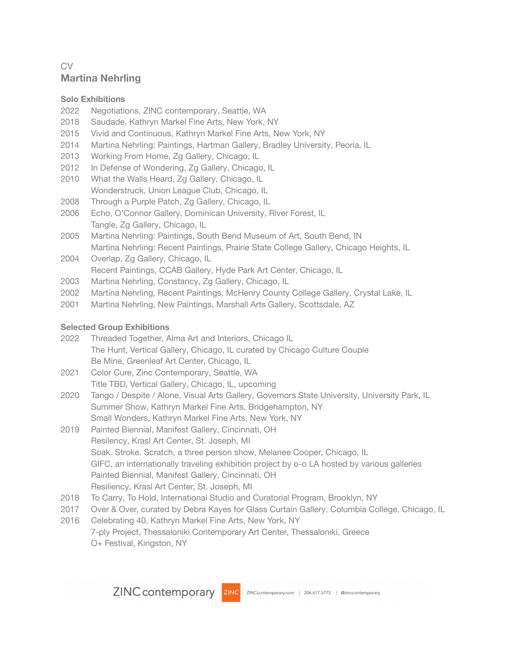# CV **Martina Nehrling**

#### **Solo Exhibitions**

- 2022 Negotiations, ZINC contemporary, Seattle, WA
- 2018 Saudade, Kathryn Markel Fine Arts, New York, NY
- 2015 Vivid and Continuous, Kathryn Markel Fine Arts, New York, NY
- 2014 Martina Nehrling: Paintings, Hartman Gallery, Bradley University, Peoria, IL
- 2013 Working From Home, Zg Gallery, Chicago, IL
- 2012 In Defense of Wondering, Zg Gallery, Chicago, IL
- 2010 What the Walls Heard, Zg Gallery, Chicago, IL Wonderstruck, Union League Club, Chicago, IL
- 2008 Through a Purple Patch, Zg Gallery, Chicago, IL
- 2006 Echo, O'Connor Gallery, Dominican University, River Forest, IL Tangle, Zg Gallery, Chicago, IL
- 2005 Martina Nehrling: Paintings, South Bend Museum of Art, South Bend, IN Martina Nehrling: Recent Paintings, Prairie State College Gallery, Chicago Heights, IL
- 2004 Overlap, Zg Gallery, Chicago, IL Recent Paintings, CCAB Gallery, Hyde Park Art Center, Chicago, IL
- 2003 Martina Nehrling, Constancy, Zg Gallery, Chicago, IL
- 2002 Martina Nehrling, Recent Paintings, McHenry County College Gallery, Crystal Lake, IL
- 2001 Martina Nehrling, New Paintings, Marshall Arts Gallery, Scottsdale, AZ

### **Selected Group Exhibitions**

- 2022 Threaded Together, Alma Art and Interiors, Chicago IL The Hunt, Vertical Gallery, Chicago, IL curated by Chicago Culture Couple Be Mine, Greenleaf Art Center, Chicago, IL
- 2021 Color Cure, Zinc Contemporary, Seattle, WA Title TBD, Vertical Gallery, Chicago, IL, upcoming
- 2020 Tango / Despite / Alone, Visual Arts Gallery, Governors State University, University Park, IL Summer Show, Kathryn Markel Fine Arts, Bridgehampton, NY Small Wonders, Kathryn Markel Fine Arts, New York, NY
- 2019 Painted Biennial, Manifest Gallery, Cincinnati, OH Resilency, Krasl Art Center, St. Joseph, MI Soak. Stroke. Scratch, a three person show, Melanee Cooper, Chicago, IL GIFC, an internationally traveling exhibition project by o-o LA hosted by various galleries Painted Biennial, Manifest Gallery, Cincinnati, OH Resiliency, Krasl Art Center, St. Joseph, MI
- 2018 To Carry, To Hold, International Studio and Curatorial Program, Brooklyn, NY
- 2017 Over & Over, curated by Debra Kayes for Glass Curtain Gallery, Columbia College, Chicago, IL
- 2016 Celebrating 40, Kathryn Markel Fine Arts, New York, NY 7-ply Project, Thessaloniki Contemporary Art Center, Thessaloniki, Greece O+ Festival, Kingston, NY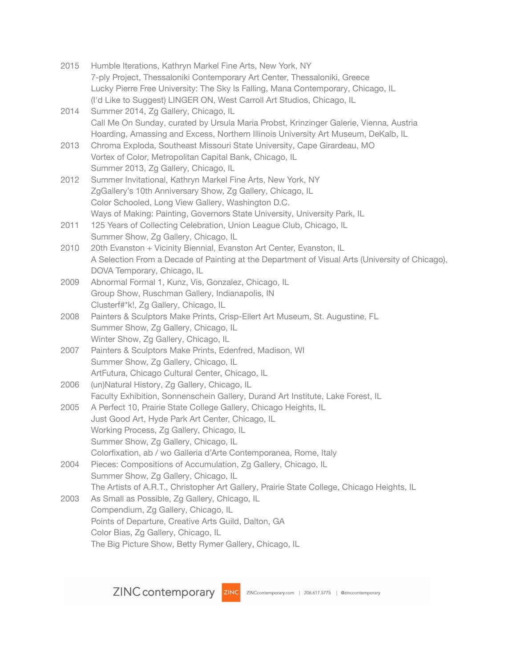| 2015 | Humble Iterations, Kathryn Markel Fine Arts, New York, NY                                       |
|------|-------------------------------------------------------------------------------------------------|
|      | 7-ply Project, Thessaloniki Contemporary Art Center, Thessaloniki, Greece                       |
|      | Lucky Pierre Free University: The Sky Is Falling, Mana Contemporary, Chicago, IL                |
|      | (I'd Like to Suggest) LINGER ON, West Carroll Art Studios, Chicago, IL                          |
| 2014 | Summer 2014, Zg Gallery, Chicago, IL                                                            |
|      | Call Me On Sunday, curated by Ursula Maria Probst, Krinzinger Galerie, Vienna, Austria          |
|      | Hoarding, Amassing and Excess, Northern Illinois University Art Museum, DeKalb, IL              |
| 2013 | Chroma Exploda, Southeast Missouri State University, Cape Girardeau, MO                         |
|      | Vortex of Color, Metropolitan Capital Bank, Chicago, IL                                         |
|      | Summer 2013, Zg Gallery, Chicago, IL                                                            |
| 2012 | Summer Invitational, Kathryn Markel Fine Arts, New York, NY                                     |
|      | ZgGallery's 10th Anniversary Show, Zg Gallery, Chicago, IL                                      |
|      | Color Schooled, Long View Gallery, Washington D.C.                                              |
|      | Ways of Making: Painting, Governors State University, University Park, IL                       |
| 2011 | 125 Years of Collecting Celebration, Union League Club, Chicago, IL                             |
|      | Summer Show, Zg Gallery, Chicago, IL                                                            |
| 2010 | 20th Evanston + Vicinity Biennial, Evanston Art Center, Evanston, IL                            |
|      | A Selection From a Decade of Painting at the Department of Visual Arts (University of Chicago), |
|      | DOVA Temporary, Chicago, IL                                                                     |
| 2009 | Abnormal Formal 1, Kunz, Vis, Gonzalez, Chicago, IL                                             |
|      | Group Show, Ruschman Gallery, Indianapolis, IN                                                  |
|      | Clusterf#*k!, Zg Gallery, Chicago, IL                                                           |
| 2008 | Painters & Sculptors Make Prints, Crisp-Ellert Art Museum, St. Augustine, FL                    |
|      | Summer Show, Zg Gallery, Chicago, IL                                                            |
|      | Winter Show, Zg Gallery, Chicago, IL                                                            |
| 2007 | Painters & Sculptors Make Prints, Edenfred, Madison, WI                                         |
|      | Summer Show, Zg Gallery, Chicago, IL                                                            |
|      | ArtFutura, Chicago Cultural Center, Chicago, IL                                                 |
| 2006 | (un)Natural History, Zg Gallery, Chicago, IL                                                    |
|      | Faculty Exhibition, Sonnenschein Gallery, Durand Art Institute, Lake Forest, IL                 |
| 2005 | A Perfect 10, Prairie State College Gallery, Chicago Heights, IL                                |
|      | Just Good Art, Hyde Park Art Center, Chicago, IL                                                |
|      | Working Process, Zg Gallery, Chicago, IL                                                        |
|      | Summer Show, Zg Gallery, Chicago, IL                                                            |
|      | Colorfixation, ab / wo Galleria d'Arte Contemporanea, Rome, Italy                               |
| 2004 | Pieces: Compositions of Accumulation, Zg Gallery, Chicago, IL                                   |
|      | Summer Show, Zg Gallery, Chicago, IL                                                            |
|      | The Artists of A.R.T., Christopher Art Gallery, Prairie State College, Chicago Heights, IL      |
| 2003 | As Small as Possible, Zg Gallery, Chicago, IL                                                   |
|      | Compendium, Zg Gallery, Chicago, IL                                                             |
|      | Points of Departure, Creative Arts Guild, Dalton, GA                                            |
|      | Color Bias, Zg Gallery, Chicago, IL                                                             |
|      | The Big Picture Show, Betty Rymer Gallery, Chicago, IL                                          |
|      |                                                                                                 |

ZINC contemporary ZINC ZINCcontemporary.com | 206.617.5775 | @zinccontemporary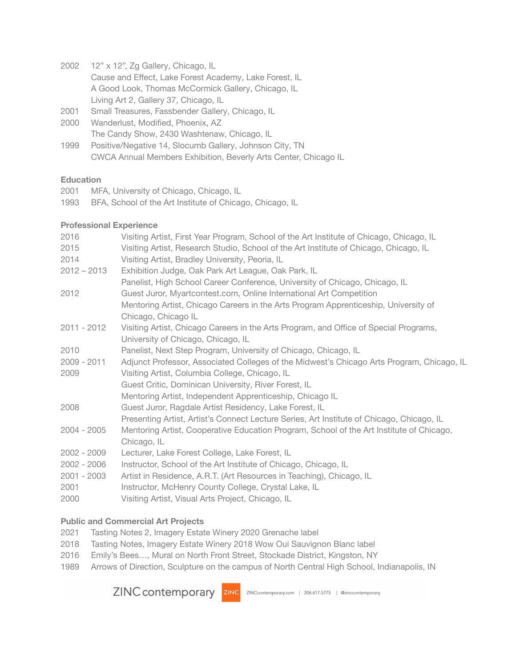- 12" x 12", Zg Gallery, Chicago, IL Cause and Effect, Lake Forest Academy, Lake Forest, IL A Good Look, Thomas McCormick Gallery, Chicago, IL Living Art 2, Gallery 37, Chicago, IL
- Small Treasures, Fassbender Gallery, Chicago, IL
- Wanderlust, Modified, Phoenix, AZ The Candy Show, 2430 Washtenaw, Chicago, IL
- Positive/Negative 14, Slocumb Gallery, Johnson City, TN CWCA Annual Members Exhibition, Beverly Arts Center, Chicago IL

### **Education**

- MFA, University of Chicago, Chicago, IL
- BFA, School of the Art Institute of Chicago, Chicago, IL

## **Professional Experience**

| 2016          | Visiting Artist, First Year Program, School of the Art Institute of Chicago, Chicago, IL  |
|---------------|-------------------------------------------------------------------------------------------|
| 2015          | Visiting Artist, Research Studio, School of the Art Institute of Chicago, Chicago, IL     |
| 2014          | Visiting Artist, Bradley University, Peoria, IL                                           |
| $2012 - 2013$ | Exhibition Judge, Oak Park Art League, Oak Park, IL                                       |
|               | Panelist, High School Career Conference, University of Chicago, Chicago, IL               |
| 2012          | Guest Juror, Myartcontest.com, Online International Art Competition                       |
|               | Mentoring Artist, Chicago Careers in the Arts Program Apprenticeship, University of       |
|               | Chicago, Chicago IL                                                                       |
| $2011 - 2012$ | Visiting Artist, Chicago Careers in the Arts Program, and Office of Special Programs,     |
|               | University of Chicago, Chicago, IL                                                        |
| 2010          | Panelist, Next Step Program, University of Chicago, Chicago, IL                           |
| 2009 - 2011   | Adjunct Professor, Associated Colleges of the Midwest's Chicago Arts Program, Chicago, IL |
| 2009          | Visiting Artist, Columbia College, Chicago, IL                                            |
|               | Guest Critic, Dominican University, River Forest, IL                                      |
|               | Mentoring Artist, Independent Apprenticeship, Chicago IL                                  |
| 2008          | Guest Juror, Ragdale Artist Residency, Lake Forest, IL                                    |
|               | Presenting Artist, Artist's Connect Lecture Series, Art Institute of Chicago, Chicago, IL |
| $2004 - 2005$ | Mentoring Artist, Cooperative Education Program, School of the Art Institute of Chicago,  |
|               | Chicago, IL                                                                               |
| $2002 - 2009$ | Lecturer, Lake Forest College, Lake Forest, IL                                            |
| $2002 - 2006$ | Instructor, School of the Art Institute of Chicago, Chicago, IL                           |
| $2001 - 2003$ | Artist in Residence, A.R.T. (Art Resources in Teaching), Chicago, IL                      |
| 2001          | Instructor, McHenry County College, Crystal Lake, IL                                      |
| 2000          | Visiting Artist, Visual Arts Project, Chicago, IL                                         |
|               |                                                                                           |

## **Public and Commercial Art Projects**

- Tasting Notes 2, Imagery Estate Winery 2020 Grenache label
- Tasting Notes, Imagery Estate Winery 2018 Wow Oui Sauvignon Blanc label
- Emily's Bees…, Mural on North Front Street, Stockade District, Kingston, NY
- Arrows of Direction, Sculpture on the campus of North Central High School, Indianapolis, IN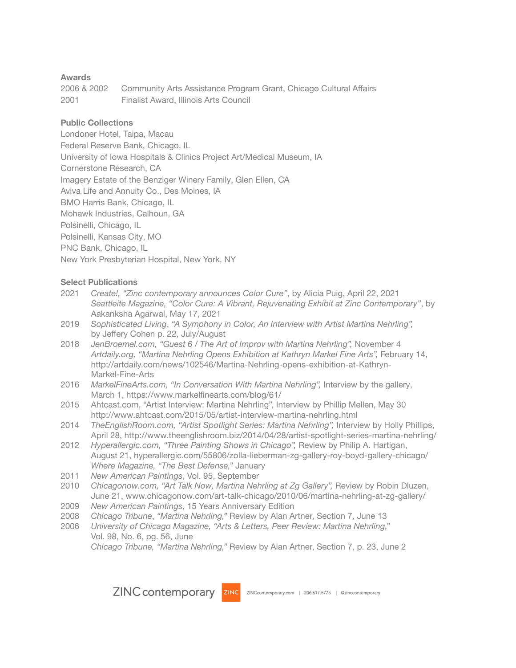#### **Awards**

| 2006 & 2002 | Community Arts Assistance Program Grant, Chicago Cultural Affairs |
|-------------|-------------------------------------------------------------------|
| 2001        | Finalist Award, Illinois Arts Council                             |

#### **Public Collections**

Londoner Hotel, Taipa, Macau Federal Reserve Bank, Chicago, IL University of Iowa Hospitals & Clinics Project Art/Medical Museum, IA Cornerstone Research, CA Imagery Estate of the Benziger Winery Family, Glen Ellen, CA Aviva Life and Annuity Co., Des Moines, IA BMO Harris Bank, Chicago, IL Mohawk Industries, Calhoun, GA Polsinelli, Chicago, IL Polsinelli, Kansas City, MO PNC Bank, Chicago, IL New York Presbyterian Hospital, New York, NY

#### **Select Publications**

- 2021 *Create!, "Zinc contemporary announces Color Cure"*, by Alicia Puig, April 22, 2021 *Seattleite Magazine, "Color Cure: A Vibrant, Rejuvenating Exhibit at Zinc Contemporary"*, by Aakanksha Agarwal, May 17, 2021
- 2019 *Sophisticated Living*, *"A Symphony in Color, An Interview with Artist Martina Nehrling",* by Jeffery Cohen p. 22, July/August
- 2018 *JenBroemel.com, "Guest 6 / The Art of Improv with Martina Nehrling",* November 4 *Artdaily.org, "Martina Nehrling Opens Exhibition at Kathryn Markel Fine Arts",* February 14, http://artdaily.com/news/102546/Martina-Nehrling-opens-exhibition-at-Kathryn-Markel-Fine-Arts
- 2016 *MarkelFineArts.com, "In Conversation With Martina Nehrling",* Interview by the gallery, March 1, https://www.markelfinearts.com/blog/61/
- 2015 Ahtcast.com, "Artist Interview: Martina Nehrling", Interview by Phillip Mellen, May 30 http://www.ahtcast.com/2015/05/artist-interview-martina-nehrling.html
- 2014 *TheEnglishRoom.com, "Artist Spotlight Series: Martina Nehrling",* Interview by Holly Phillips, April 28, <http://www.theenglishroom.biz/2014/04/28/artist-spotlight-series-martina-nehrling/>
- 2012 *Hyperallergic.com, "Three Painting Shows in Chicago",* Review by Philip A. Hartigan, August 21, [hyperallergic.com/55806/zolla-lieberman-zg-gallery-roy-boyd-gallery-chicago/](http://hyperallergic.com/55806/zolla-lieberman-zg-gallery-roy-boyd-gallery-chicago/) *Where Magazine, "The Best Defense,"* January
- 2011 *New American Paintings*, Vol. 95, September
- 2010 *Chicagonow.com, "Art Talk Now, Martina Nehrling at Zg Gallery",* Review by Robin Dluzen, June 21, www.chicagonow.com/art-talk-chicago/2010/06/martina-nehrling-at-zg-gallery/
- 2009 *New American Paintings*, 15 Years Anniversary Edition
- 2008 *Chicago Tribune*, *"Martina Nehrling,"* Review by Alan Artner, Section 7, June 13
- 2006 *University of Chicago Magazine, "Arts & Letters, Peer Review: Martina Nehrling,"* Vol. 98, No. 6, pg. 56, June

*Chicago Tribune, "Martina Nehrling,"* Review by Alan Artner, Section 7, p. 23, June 2

ZINC contemporary